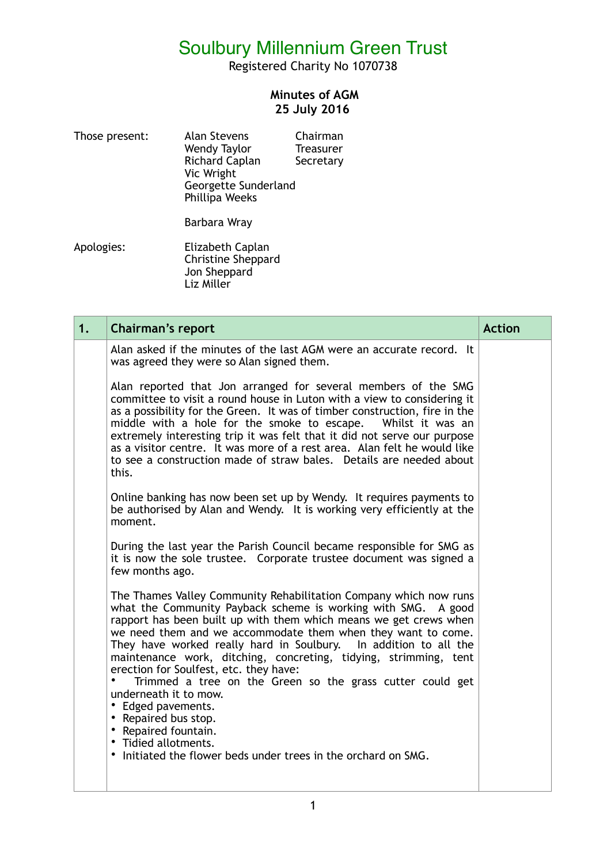Registered Charity No 1070738

#### **Minutes of AGM 25 July 2016**

| Those present: | <b>Alan Stevens</b>   | Chairman         |
|----------------|-----------------------|------------------|
|                | Wendy Taylor          | <b>Treasurer</b> |
|                | <b>Richard Caplan</b> | Secretary        |
|                | Vic Wright            |                  |
|                | Georgette Sunderland  |                  |
|                | Phillipa Weeks        |                  |
|                |                       |                  |

Barbara Wray

Apologies: Elizabeth Caplan Christine Sheppard Jon Sheppard Liz Miller

| 1. | <b>Chairman's report</b>                                                                                                                                                                                                                                                                                                                                                                                                                                                                                                                                                                                                                                                                                      | <b>Action</b> |
|----|---------------------------------------------------------------------------------------------------------------------------------------------------------------------------------------------------------------------------------------------------------------------------------------------------------------------------------------------------------------------------------------------------------------------------------------------------------------------------------------------------------------------------------------------------------------------------------------------------------------------------------------------------------------------------------------------------------------|---------------|
|    | Alan asked if the minutes of the last AGM were an accurate record. It<br>was agreed they were so Alan signed them.                                                                                                                                                                                                                                                                                                                                                                                                                                                                                                                                                                                            |               |
|    | Alan reported that Jon arranged for several members of the SMG<br>committee to visit a round house in Luton with a view to considering it<br>as a possibility for the Green. It was of timber construction, fire in the<br>middle with a hole for the smoke to escape.  Whilst it was an<br>extremely interesting trip it was felt that it did not serve our purpose<br>as a visitor centre. It was more of a rest area. Alan felt he would like<br>to see a construction made of straw bales. Details are needed about<br>this.                                                                                                                                                                              |               |
|    | Online banking has now been set up by Wendy. It requires payments to<br>be authorised by Alan and Wendy. It is working very efficiently at the<br>moment.                                                                                                                                                                                                                                                                                                                                                                                                                                                                                                                                                     |               |
|    | During the last year the Parish Council became responsible for SMG as<br>it is now the sole trustee. Corporate trustee document was signed a<br>few months ago.                                                                                                                                                                                                                                                                                                                                                                                                                                                                                                                                               |               |
|    | The Thames Valley Community Rehabilitation Company which now runs<br>what the Community Payback scheme is working with SMG. A good<br>rapport has been built up with them which means we get crews when<br>we need them and we accommodate them when they want to come.<br>They have worked really hard in Soulbury. In addition to all the<br>maintenance work, ditching, concreting, tidying, strimming, tent<br>erection for Soulfest, etc. they have:<br>Trimmed a tree on the Green so the grass cutter could get<br>underneath it to mow.<br>• Edged pavements.<br>• Repaired bus stop.<br>• Repaired fountain.<br>• Tidied allotments.<br>Initiated the flower beds under trees in the orchard on SMG. |               |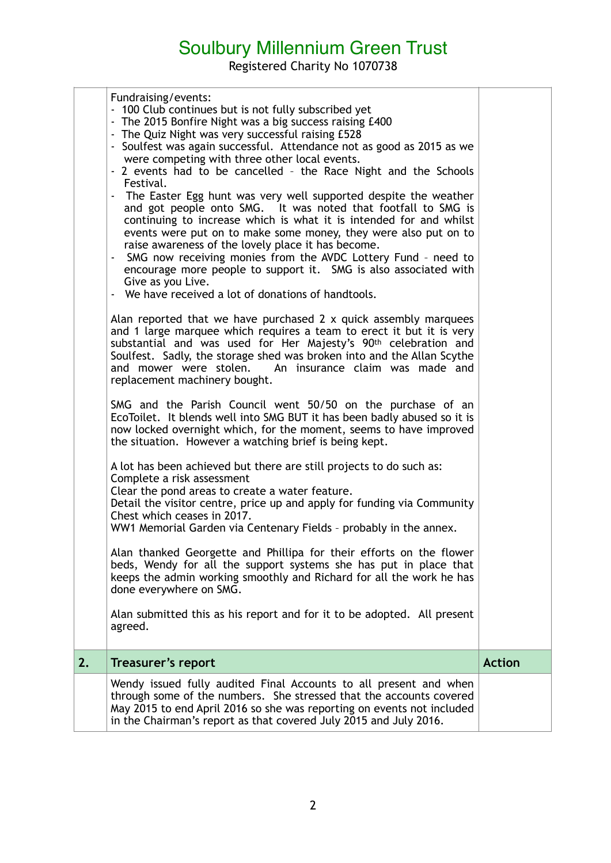Registered Charity No 1070738

|    | Fundraising/events:<br>- 100 Club continues but is not fully subscribed yet<br>- The 2015 Bonfire Night was a big success raising £400<br>- The Quiz Night was very successful raising £528<br>- Soulfest was again successful. Attendance not as good as 2015 as we<br>were competing with three other local events.<br>- 2 events had to be cancelled - the Race Night and the Schools<br>Festival.<br>- The Easter Egg hunt was very well supported despite the weather<br>and got people onto SMG. It was noted that footfall to SMG is<br>continuing to increase which is what it is intended for and whilst<br>events were put on to make some money, they were also put on to<br>raise awareness of the lovely place it has become.<br>- SMG now receiving monies from the AVDC Lottery Fund - need to<br>encourage more people to support it. SMG is also associated with<br>Give as you Live.<br>- We have received a lot of donations of handtools.<br>Alan reported that we have purchased 2 x quick assembly marquees<br>and 1 large marquee which requires a team to erect it but it is very<br>substantial and was used for Her Majesty's 90 <sup>th</sup> celebration and<br>Soulfest. Sadly, the storage shed was broken into and the Allan Scythe<br>and mower were stolen. An insurance claim was made and<br>replacement machinery bought.<br>SMG and the Parish Council went 50/50 on the purchase of an<br>EcoToilet. It blends well into SMG BUT it has been badly abused so it is<br>now locked overnight which, for the moment, seems to have improved<br>the situation. However a watching brief is being kept.<br>A lot has been achieved but there are still projects to do such as:<br>Complete a risk assessment<br>Clear the pond areas to create a water feature.<br>Detail the visitor centre, price up and apply for funding via Community<br>Chest which ceases in 2017.<br>WW1 Memorial Garden via Centenary Fields - probably in the annex.<br>Alan thanked Georgette and Phillipa for their efforts on the flower<br>beds, Wendy for all the support systems she has put in place that<br>keeps the admin working smoothly and Richard for all the work he has<br>done everywhere on SMG.<br>Alan submitted this as his report and for it to be adopted. All present<br>agreed. |               |
|----|----------------------------------------------------------------------------------------------------------------------------------------------------------------------------------------------------------------------------------------------------------------------------------------------------------------------------------------------------------------------------------------------------------------------------------------------------------------------------------------------------------------------------------------------------------------------------------------------------------------------------------------------------------------------------------------------------------------------------------------------------------------------------------------------------------------------------------------------------------------------------------------------------------------------------------------------------------------------------------------------------------------------------------------------------------------------------------------------------------------------------------------------------------------------------------------------------------------------------------------------------------------------------------------------------------------------------------------------------------------------------------------------------------------------------------------------------------------------------------------------------------------------------------------------------------------------------------------------------------------------------------------------------------------------------------------------------------------------------------------------------------------------------------------------------------------------------------------------------------------------------------------------------------------------------------------------------------------------------------------------------------------------------------------------------------------------------------------------------------------------------------------------------------------------------------------------------------------------------------------------------------------------------------------------------------------------|---------------|
| 2. | Treasurer's report                                                                                                                                                                                                                                                                                                                                                                                                                                                                                                                                                                                                                                                                                                                                                                                                                                                                                                                                                                                                                                                                                                                                                                                                                                                                                                                                                                                                                                                                                                                                                                                                                                                                                                                                                                                                                                                                                                                                                                                                                                                                                                                                                                                                                                                                                                   | <b>Action</b> |
|    | Wendy issued fully audited Final Accounts to all present and when<br>through some of the numbers. She stressed that the accounts covered<br>May 2015 to end April 2016 so she was reporting on events not included<br>in the Chairman's report as that covered July 2015 and July 2016.                                                                                                                                                                                                                                                                                                                                                                                                                                                                                                                                                                                                                                                                                                                                                                                                                                                                                                                                                                                                                                                                                                                                                                                                                                                                                                                                                                                                                                                                                                                                                                                                                                                                                                                                                                                                                                                                                                                                                                                                                              |               |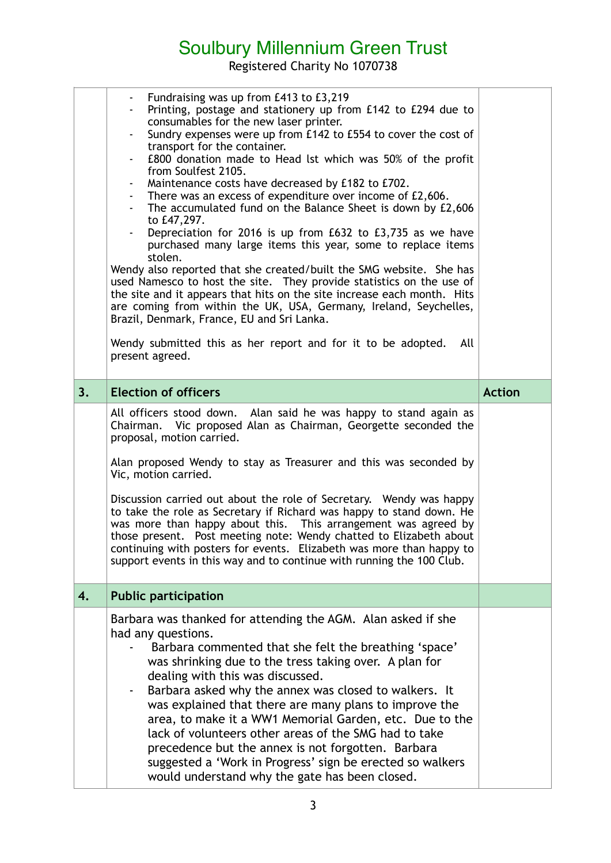Registered Charity No 1070738

|    | - Fundraising was up from £413 to £3,219<br>Printing, postage and stationery up from £142 to £294 due to<br>consumables for the new laser printer.<br>Sundry expenses were up from £142 to £554 to cover the cost of<br>transport for the container.<br>£800 donation made to Head lst which was 50% of the profit<br>from Soulfest 2105.<br>Maintenance costs have decreased by £182 to £702.<br>- There was an excess of expenditure over income of £2,606.<br>The accumulated fund on the Balance Sheet is down by £2,606<br>to £47,297.<br>Depreciation for 2016 is up from £632 to £3,735 as we have<br>$\blacksquare$<br>purchased many large items this year, some to replace items<br>stolen.<br>Wendy also reported that she created/built the SMG website. She has<br>used Namesco to host the site. They provide statistics on the use of<br>the site and it appears that hits on the site increase each month. Hits<br>are coming from within the UK, USA, Germany, Ireland, Seychelles,<br>Brazil, Denmark, France, EU and Sri Lanka.<br>Wendy submitted this as her report and for it to be adopted.<br>All<br>present agreed. |               |
|----|----------------------------------------------------------------------------------------------------------------------------------------------------------------------------------------------------------------------------------------------------------------------------------------------------------------------------------------------------------------------------------------------------------------------------------------------------------------------------------------------------------------------------------------------------------------------------------------------------------------------------------------------------------------------------------------------------------------------------------------------------------------------------------------------------------------------------------------------------------------------------------------------------------------------------------------------------------------------------------------------------------------------------------------------------------------------------------------------------------------------------------------------|---------------|
| 3. | <b>Election of officers</b>                                                                                                                                                                                                                                                                                                                                                                                                                                                                                                                                                                                                                                                                                                                                                                                                                                                                                                                                                                                                                                                                                                                  | <b>Action</b> |
|    | All officers stood down. Alan said he was happy to stand again as<br>Chairman. Vic proposed Alan as Chairman, Georgette seconded the<br>proposal, motion carried.<br>Alan proposed Wendy to stay as Treasurer and this was seconded by<br>Vic, motion carried.<br>Discussion carried out about the role of Secretary. Wendy was happy<br>to take the role as Secretary if Richard was happy to stand down. He<br>was more than happy about this. This arrangement was agreed by<br>those present. Post meeting note: Wendy chatted to Elizabeth about<br>continuing with posters for events. Elizabeth was more than happy to<br>support events in this way and to continue with running the 100 Club.                                                                                                                                                                                                                                                                                                                                                                                                                                       |               |
| 4. | <b>Public participation</b>                                                                                                                                                                                                                                                                                                                                                                                                                                                                                                                                                                                                                                                                                                                                                                                                                                                                                                                                                                                                                                                                                                                  |               |
|    | Barbara was thanked for attending the AGM. Alan asked if she<br>had any questions.<br>Barbara commented that she felt the breathing 'space'<br>was shrinking due to the tress taking over. A plan for<br>dealing with this was discussed.<br>Barbara asked why the annex was closed to walkers. It<br>۰.<br>was explained that there are many plans to improve the<br>area, to make it a WW1 Memorial Garden, etc. Due to the<br>lack of volunteers other areas of the SMG had to take<br>precedence but the annex is not forgotten. Barbara<br>suggested a 'Work in Progress' sign be erected so walkers<br>would understand why the gate has been closed.                                                                                                                                                                                                                                                                                                                                                                                                                                                                                  |               |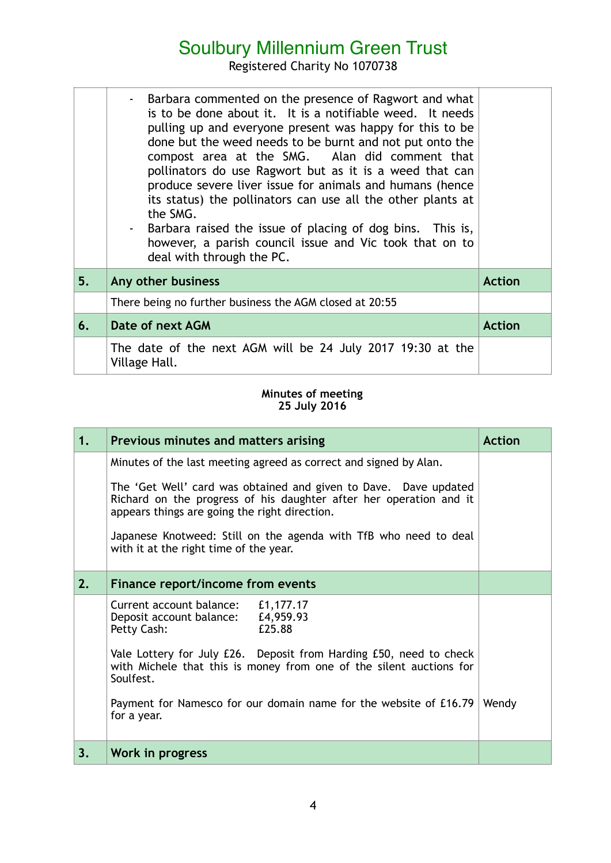Registered Charity No 1070738

|    | - Barbara commented on the presence of Ragwort and what<br>is to be done about it. It is a notifiable weed. It needs<br>pulling up and everyone present was happy for this to be<br>done but the weed needs to be burnt and not put onto the<br>compost area at the SMG. Alan did comment that<br>pollinators do use Ragwort but as it is a weed that can<br>produce severe liver issue for animals and humans (hence<br>its status) the pollinators can use all the other plants at<br>the SMG.<br>- Barbara raised the issue of placing of dog bins. This is,<br>however, a parish council issue and Vic took that on to<br>deal with through the PC. |               |
|----|---------------------------------------------------------------------------------------------------------------------------------------------------------------------------------------------------------------------------------------------------------------------------------------------------------------------------------------------------------------------------------------------------------------------------------------------------------------------------------------------------------------------------------------------------------------------------------------------------------------------------------------------------------|---------------|
| 5. | Any other business                                                                                                                                                                                                                                                                                                                                                                                                                                                                                                                                                                                                                                      | <b>Action</b> |
|    | There being no further business the AGM closed at 20:55                                                                                                                                                                                                                                                                                                                                                                                                                                                                                                                                                                                                 |               |
| 6. | Date of next AGM                                                                                                                                                                                                                                                                                                                                                                                                                                                                                                                                                                                                                                        | <b>Action</b> |
|    | The date of the next AGM will be 24 July 2017 19:30 at the<br>Village Hall.                                                                                                                                                                                                                                                                                                                                                                                                                                                                                                                                                                             |               |

#### **Minutes of meeting 25 July 2016**

| 1. | Previous minutes and matters arising                                                                                                                                                    | <b>Action</b> |
|----|-----------------------------------------------------------------------------------------------------------------------------------------------------------------------------------------|---------------|
|    | Minutes of the last meeting agreed as correct and signed by Alan.                                                                                                                       |               |
|    | The 'Get Well' card was obtained and given to Dave. Dave updated<br>Richard on the progress of his daughter after her operation and it<br>appears things are going the right direction. |               |
|    | Japanese Knotweed: Still on the agenda with TfB who need to deal<br>with it at the right time of the year.                                                                              |               |
| 2. | Finance report/income from events                                                                                                                                                       |               |
|    | Current account balance:<br>£1,177.17<br>£4,959.93<br>Deposit account balance:<br>£25.88<br>Petty Cash:                                                                                 |               |
|    | Vale Lottery for July £26. Deposit from Harding £50, need to check<br>with Michele that this is money from one of the silent auctions for<br>Soulfest.                                  |               |
|    | Payment for Namesco for our domain name for the website of £16.79<br>for a year.                                                                                                        | Wendy         |
| 3. | Work in progress                                                                                                                                                                        |               |